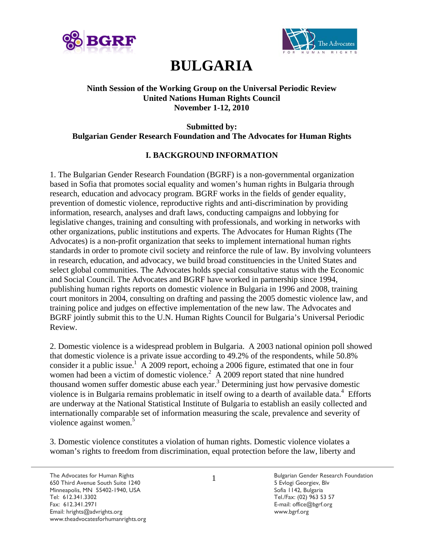



# **BULGARIA**

## **Ninth Session of the Working Group on the Universal Periodic Review United Nations Human Rights Council November 1-12, 2010**

# **Submitted by: Bulgarian Gender Research Foundation and The Advocates for Human Rights**

# **I. BACKGROUND INFORMATION**

1. The Bulgarian Gender Research Foundation (BGRF) is a non-governmental organization based in Sofia that promotes social equality and women's human rights in Bulgaria through research, education and advocacy program. BGRF works in the fields of gender equality, prevention of domestic violence, reproductive rights and anti-discrimination by providing information, research, analyses and draft laws, conducting campaigns and lobbying for legislative changes, training and consulting with professionals, and working in networks with other organizations, public institutions and experts. The Advocates for Human Rights (The Advocates) is a non-profit organization that seeks to implement international human rights standards in order to promote civil society and reinforce the rule of law. By involving volunteers in research, education, and advocacy, we build broad constituencies in the United States and select global communities. The Advocates holds special consultative status with the Economic and Social Council. The Advocates and BGRF have worked in partnership since 1994, publishing human rights reports on domestic violence in Bulgaria in 1996 and 2008, training court monitors in 2004, consulting on drafting and passing the 2005 domestic violence law, and training police and judges on effective implementation of the new law. The Advocates and BGRF jointly submit this to the U.N. Human Rights Council for Bulgaria's Universal Periodic Review.

2. Domestic violence is a widespread problem in Bulgaria. A 2003 national opinion poll showed that domestic violence is a private issue according to 49.2% of the respondents, while 50.8% consider it a public issue.<sup>1</sup> A 2009 report, echoing a 2006 figure, estimated that one in four women had been a victim of domestic violence.<sup>2</sup> A 2009 report stated that nine hundred thousand women suffer domestic abuse each year.<sup>3</sup> Determining just how pervasive domestic violence is in Bulgaria remains problematic in itself owing to a dearth of available data.<sup>4</sup> Efforts are underway at the National Statistical Institute of Bulgaria to establish an easily collected and internationally comparable set of information measuring the scale, prevalence and severity of violence against women.<sup>5</sup>

3. Domestic violence constitutes a violation of human rights. Domestic violence violates a woman's rights to freedom from discrimination, equal protection before the law, liberty and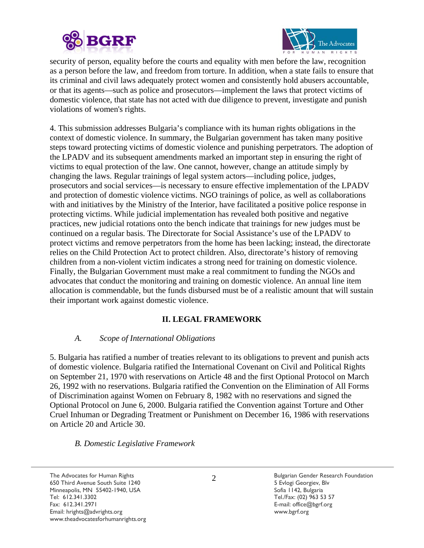



security of person, equality before the courts and equality with men before the law, recognition as a person before the law, and freedom from torture. In addition, when a state fails to ensure that its criminal and civil laws adequately protect women and consistently hold abusers accountable, or that its agents—such as police and prosecutors—implement the laws that protect victims of domestic violence, that state has not acted with due diligence to prevent, investigate and punish violations of women's rights.

4. This submission addresses Bulgaria's compliance with its human rights obligations in the context of domestic violence. In summary, the Bulgarian government has taken many positive steps toward protecting victims of domestic violence and punishing perpetrators. The adoption of the LPADV and its subsequent amendments marked an important step in ensuring the right of victims to equal protection of the law. One cannot, however, change an attitude simply by changing the laws. Regular trainings of legal system actors—including police, judges, prosecutors and social services—is necessary to ensure effective implementation of the LPADV and protection of domestic violence victims. NGO trainings of police, as well as collaborations with and initiatives by the Ministry of the Interior, have facilitated a positive police response in protecting victims. While judicial implementation has revealed both positive and negative practices, new judicial rotations onto the bench indicate that trainings for new judges must be continued on a regular basis. The Directorate for Social Assistance's use of the LPADV to protect victims and remove perpetrators from the home has been lacking; instead, the directorate relies on the Child Protection Act to protect children. Also, directorate's history of removing children from a non-violent victim indicates a strong need for training on domestic violence. Finally, the Bulgarian Government must make a real commitment to funding the NGOs and advocates that conduct the monitoring and training on domestic violence. An annual line item allocation is commendable, but the funds disbursed must be of a realistic amount that will sustain their important work against domestic violence.

# **II. LEGAL FRAMEWORK**

## *A. Scope of International Obligations*

5. Bulgaria has ratified a number of treaties relevant to its obligations to prevent and punish acts of domestic violence. Bulgaria ratified the International Covenant on Civil and Political Rights on September 21, 1970 with reservations on Article 48 and the first Optional Protocol on March 26, 1992 with no reservations. Bulgaria ratified the Convention on the Elimination of All Forms of Discrimination against Women on February 8, 1982 with no reservations and signed the Optional Protocol on June 6, 2000. Bulgaria ratified the Convention against Torture and Other Cruel Inhuman or Degrading Treatment or Punishment on December 16, 1986 with reservations on Article 20 and Article 30.

#### *B. Domestic Legislative Framework*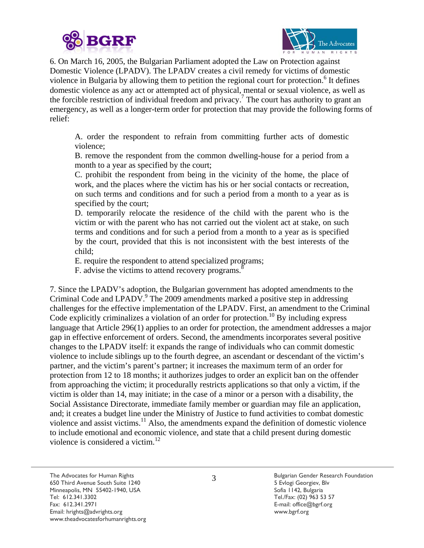



6. On March 16, 2005, the Bulgarian Parliament adopted the Law on Protection against Domestic Violence (LPADV). The LPADV creates a civil remedy for victims of domestic violence in Bulgaria by allowing them to petition the regional court for protection.<sup>6</sup> It defines domestic violence as any act or attempted act of physical, mental or sexual violence, as well as the forcible restriction of individual freedom and privacy.<sup>7</sup> The court has authority to grant an emergency, as well as a longer-term order for protection that may provide the following forms of relief:

A. order the respondent to refrain from committing further acts of domestic violence;

B. remove the respondent from the common dwelling-house for a period from a month to a year as specified by the court;

C. prohibit the respondent from being in the vicinity of the home, the place of work, and the places where the victim has his or her social contacts or recreation, on such terms and conditions and for such a period from a month to a year as is specified by the court;

D. temporarily relocate the residence of the child with the parent who is the victim or with the parent who has not carried out the violent act at stake, on such terms and conditions and for such a period from a month to a year as is specified by the court, provided that this is not inconsistent with the best interests of the child;

E. require the respondent to attend specialized programs;

F. advise the victims to attend recovery programs.<sup>8</sup>

7. Since the LPADV's adoption, the Bulgarian government has adopted amendments to the Criminal Code and LPADV.<sup>9</sup> The 2009 amendments marked a positive step in addressing challenges for the effective implementation of the LPADV. First, an amendment to the Criminal Code explicitly criminalizes a violation of an order for protection.<sup>10</sup> By including express language that Article 296(1) applies to an order for protection, the amendment addresses a major gap in effective enforcement of orders. Second, the amendments incorporates several positive changes to the LPADV itself: it expands the range of individuals who can commit domestic violence to include siblings up to the fourth degree, an ascendant or descendant of the victim's partner, and the victim's parent's partner; it increases the maximum term of an order for protection from 12 to 18 months; it authorizes judges to order an explicit ban on the offender from approaching the victim; it procedurally restricts applications so that only a victim, if the victim is older than 14, may initiate; in the case of a minor or a person with a disability, the Social Assistance Directorate, immediate family member or guardian may file an application, and; it creates a budget line under the Ministry of Justice to fund activities to combat domestic violence and assist victims.<sup>11</sup> Also, the amendments expand the definition of domestic violence to include emotional and economic violence, and state that a child present during domestic violence is considered a victim. $^{12}$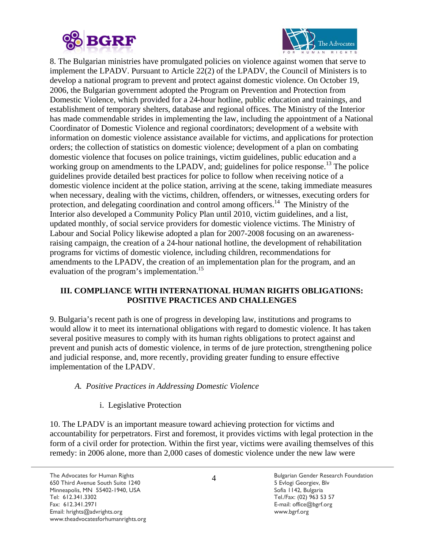



8. The Bulgarian ministries have promulgated policies on violence against women that serve to implement the LPADV. Pursuant to Article 22(2) of the LPADV, the Council of Ministers is to develop a national program to prevent and protect against domestic violence. On October 19, 2006, the Bulgarian government adopted the Program on Prevention and Protection from Domestic Violence, which provided for a 24-hour hotline, public education and trainings, and establishment of temporary shelters, database and regional offices. The Ministry of the Interior has made commendable strides in implementing the law, including the appointment of a National Coordinator of Domestic Violence and regional coordinators; development of a website with information on domestic violence assistance available for victims, and applications for protection orders; the collection of statistics on domestic violence; development of a plan on combating domestic violence that focuses on police trainings, victim guidelines, public education and a working group on amendments to the LPADV, and; guidelines for police response.<sup>13</sup> The police guidelines provide detailed best practices for police to follow when receiving notice of a domestic violence incident at the police station, arriving at the scene, taking immediate measures when necessary, dealing with the victims, children, offenders, or witnesses, executing orders for protection, and delegating coordination and control among officers.<sup>14</sup> The Ministry of the Interior also developed a Community Policy Plan until 2010, victim guidelines, and a list, updated monthly, of social service providers for domestic violence victims. The Ministry of Labour and Social Policy likewise adopted a plan for 2007-2008 focusing on an awarenessraising campaign, the creation of a 24-hour national hotline, the development of rehabilitation programs for victims of domestic violence, including children, recommendations for amendments to the LPADV, the creation of an implementation plan for the program, and an evaluation of the program's implementation.<sup>15</sup>

# **III. COMPLIANCE WITH INTERNATIONAL HUMAN RIGHTS OBLIGATIONS: POSITIVE PRACTICES AND CHALLENGES**

9. Bulgaria's recent path is one of progress in developing law, institutions and programs to would allow it to meet its international obligations with regard to domestic violence. It has taken several positive measures to comply with its human rights obligations to protect against and prevent and punish acts of domestic violence, in terms of de jure protection, strengthening police and judicial response, and, more recently, providing greater funding to ensure effective implementation of the LPADV.

## *A. Positive Practices in Addressing Domestic Violence*

# i. Legislative Protection

10. The LPADV is an important measure toward achieving protection for victims and accountability for perpetrators. First and foremost, it provides victims with legal protection in the form of a civil order for protection. Within the first year, victims were availing themselves of this remedy: in 2006 alone, more than 2,000 cases of domestic violence under the new law were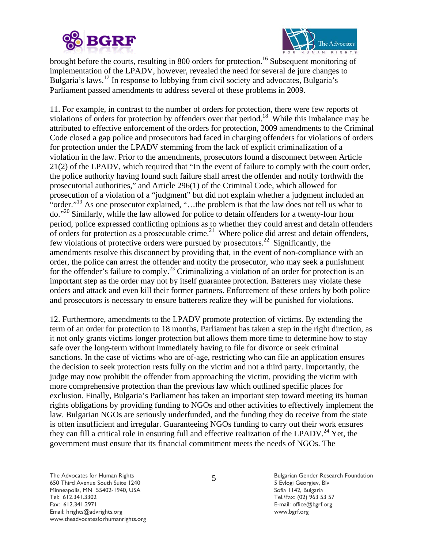



brought before the courts, resulting in 800 orders for protection.<sup>16</sup> Subsequent monitoring of implementation of the LPADV, however, revealed the need for several de jure changes to Bulgaria's laws.17 In response to lobbying from civil society and advocates, Bulgaria's Parliament passed amendments to address several of these problems in 2009.

11. For example, in contrast to the number of orders for protection, there were few reports of violations of orders for protection by offenders over that period.<sup>18</sup> While this imbalance may be attributed to effective enforcement of the orders for protection, 2009 amendments to the Criminal Code closed a gap police and prosecutors had faced in charging offenders for violations of orders for protection under the LPADV stemming from the lack of explicit criminalization of a violation in the law. Prior to the amendments, prosecutors found a disconnect between Article 21(2) of the LPADV, which required that "In the event of failure to comply with the court order, the police authority having found such failure shall arrest the offender and notify forthwith the prosecutorial authorities," and Article 296(1) of the Criminal Code, which allowed for prosecution of a violation of a "judgment" but did not explain whether a judgment included an "order."<sup>19</sup> As one prosecutor explained, "...the problem is that the law does not tell us what to do."20 Similarly, while the law allowed for police to detain offenders for a twenty-four hour period, police expressed conflicting opinions as to whether they could arrest and detain offenders of orders for protection as a prosecutable crime.<sup>21</sup> Where police did arrest and detain offenders, few violations of protective orders were pursued by prosecutors.<sup>22</sup> Significantly, the amendments resolve this disconnect by providing that, in the event of non-compliance with an order, the police can arrest the offender and notify the prosecutor, who may seek a punishment for the offender's failure to comply.<sup>23</sup> Criminalizing a violation of an order for protection is an important step as the order may not by itself guarantee protection. Batterers may violate these orders and attack and even kill their former partners. Enforcement of these orders by both police and prosecutors is necessary to ensure batterers realize they will be punished for violations.

12. Furthermore, amendments to the LPADV promote protection of victims. By extending the term of an order for protection to 18 months, Parliament has taken a step in the right direction, as it not only grants victims longer protection but allows them more time to determine how to stay safe over the long-term without immediately having to file for divorce or seek criminal sanctions. In the case of victims who are of-age, restricting who can file an application ensures the decision to seek protection rests fully on the victim and not a third party. Importantly, the judge may now prohibit the offender from approaching the victim, providing the victim with more comprehensive protection than the previous law which outlined specific places for exclusion. Finally, Bulgaria's Parliament has taken an important step toward meeting its human rights obligations by providing funding to NGOs and other activities to effectively implement the law. Bulgarian NGOs are seriously underfunded, and the funding they do receive from the state is often insufficient and irregular. Guaranteeing NGOs funding to carry out their work ensures they can fill a critical role in ensuring full and effective realization of the LPADV.<sup>24</sup> Yet, the government must ensure that its financial commitment meets the needs of NGOs. The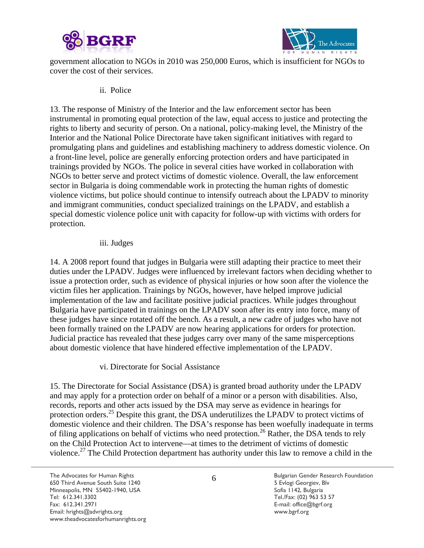



government allocation to NGOs in 2010 was 250,000 Euros, which is insufficient for NGOs to cover the cost of their services.

ii. Police

13. The response of Ministry of the Interior and the law enforcement sector has been instrumental in promoting equal protection of the law, equal access to justice and protecting the rights to liberty and security of person. On a national, policy-making level, the Ministry of the Interior and the National Police Directorate have taken significant initiatives with regard to promulgating plans and guidelines and establishing machinery to address domestic violence. On a front-line level, police are generally enforcing protection orders and have participated in trainings provided by NGOs. The police in several cities have worked in collaboration with NGOs to better serve and protect victims of domestic violence. Overall, the law enforcement sector in Bulgaria is doing commendable work in protecting the human rights of domestic violence victims, but police should continue to intensify outreach about the LPADV to minority and immigrant communities, conduct specialized trainings on the LPADV, and establish a special domestic violence police unit with capacity for follow-up with victims with orders for protection.

#### iii. Judges

14. A 2008 report found that judges in Bulgaria were still adapting their practice to meet their duties under the LPADV. Judges were influenced by irrelevant factors when deciding whether to issue a protection order, such as evidence of physical injuries or how soon after the violence the victim files her application. Trainings by NGOs, however, have helped improve judicial implementation of the law and facilitate positive judicial practices. While judges throughout Bulgaria have participated in trainings on the LPADV soon after its entry into force, many of these judges have since rotated off the bench. As a result, a new cadre of judges who have not been formally trained on the LPADV are now hearing applications for orders for protection. Judicial practice has revealed that these judges carry over many of the same misperceptions about domestic violence that have hindered effective implementation of the LPADV.

vi. Directorate for Social Assistance

15. The Directorate for Social Assistance (DSA) is granted broad authority under the LPADV and may apply for a protection order on behalf of a minor or a person with disabilities. Also, records, reports and other acts issued by the DSA may serve as evidence in hearings for protection orders.<sup>25</sup> Despite this grant, the DSA underutilizes the LPADV to protect victims of domestic violence and their children. The DSA's response has been woefully inadequate in terms of filing applications on behalf of victims who need protection.<sup>26</sup> Rather, the DSA tends to rely on the Child Protection Act to intervene—at times to the detriment of victims of domestic violence.<sup>27</sup> The Child Protection department has authority under this law to remove a child in the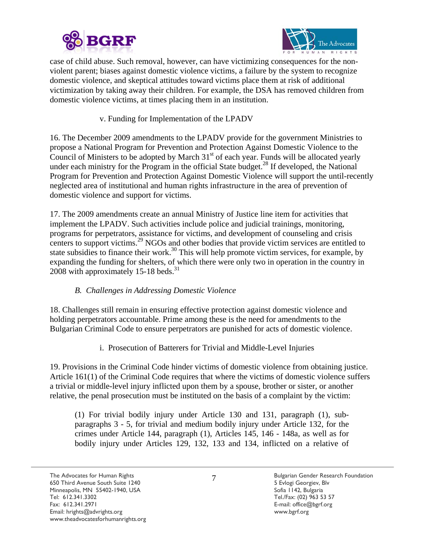



case of child abuse. Such removal, however, can have victimizing consequences for the nonviolent parent; biases against domestic violence victims, a failure by the system to recognize domestic violence, and skeptical attitudes toward victims place them at risk of additional victimization by taking away their children. For example, the DSA has removed children from domestic violence victims, at times placing them in an institution.

# v. Funding for Implementation of the LPADV

16. The December 2009 amendments to the LPADV provide for the government Ministries to propose a National Program for Prevention and Protection Against Domestic Violence to the Council of Ministers to be adopted by March  $31<sup>st</sup>$  of each year. Funds will be allocated yearly under each ministry for the Program in the official State budget.<sup>28</sup> If developed, the National Program for Prevention and Protection Against Domestic Violence will support the until-recently neglected area of institutional and human rights infrastructure in the area of prevention of domestic violence and support for victims.

17. The 2009 amendments create an annual Ministry of Justice line item for activities that implement the LPADV. Such activities include police and judicial trainings, monitoring, programs for perpetrators, assistance for victims, and development of counseling and crisis centers to support victims.<sup>29</sup> NGOs and other bodies that provide victim services are entitled to state subsidies to finance their work.<sup>30</sup> This will help promote victim services, for example, by expanding the funding for shelters, of which there were only two in operation in the country in 2008 with approximately 15-18 beds. $^{31}$ 

# *B. Challenges in Addressing Domestic Violence*

18. Challenges still remain in ensuring effective protection against domestic violence and holding perpetrators accountable. Prime among these is the need for amendments to the Bulgarian Criminal Code to ensure perpetrators are punished for acts of domestic violence.

i. Prosecution of Batterers for Trivial and Middle-Level Injuries

19. Provisions in the Criminal Code hinder victims of domestic violence from obtaining justice. Article 161(1) of the Criminal Code requires that where the victims of domestic violence suffers a trivial or middle-level injury inflicted upon them by a spouse, brother or sister, or another relative, the penal prosecution must be instituted on the basis of a complaint by the victim:

(1) For trivial bodily injury under Article 130 and 131, paragraph (1), subparagraphs 3 - 5, for trivial and medium bodily injury under Article 132, for the crimes under Article 144, paragraph (1), Articles 145, 146 - 148a, as well as for bodily injury under Articles 129, 132, 133 and 134, inflicted on a relative of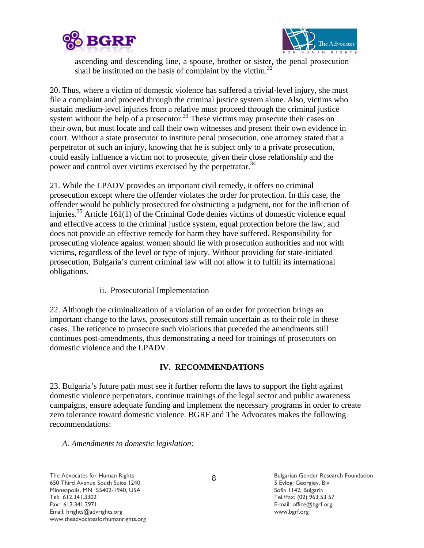



ascending and descending line, a spouse, brother or sister, the penal prosecution shall be instituted on the basis of complaint by the victim.<sup>32</sup>

20. Thus, where a victim of domestic violence has suffered a trivial-level injury, she must file a complaint and proceed through the criminal justice system alone. Also, victims who sustain medium-level injuries from a relative must proceed through the criminal justice system without the help of a prosecutor.<sup>33</sup> These victims may prosecute their cases on their own, but must locate and call their own witnesses and present their own evidence in court. Without a state prosecutor to institute penal prosecution, one attorney stated that a perpetrator of such an injury, knowing that he is subject only to a private prosecution, could easily influence a victim not to prosecute, given their close relationship and the power and control over victims exercised by the perpetrator.<sup>34</sup>

21. While the LPADV provides an important civil remedy, it offers no criminal prosecution except where the offender violates the order for protection. In this case, the offender would be publicly prosecuted for obstructing a judgment, not for the infliction of injuries.<sup>35</sup> Article 161(1) of the Criminal Code denies victims of domestic violence equal and effective access to the criminal justice system, equal protection before the law, and does not provide an effective remedy for harm they have suffered. Responsibility for prosecuting violence against women should lie with prosecution authorities and not with victims, regardless of the level or type of injury. Without providing for state-initiated prosecution, Bulgaria's current criminal law will not allow it to fulfill its international obligations.

ii. Prosecutorial Implementation

22. Although the criminalization of a violation of an order for protection brings an important change to the laws, prosecutors still remain uncertain as to their role in these cases. The reticence to prosecute such violations that preceded the amendments still continues post-amendments, thus demonstrating a need for trainings of prosecutors on domestic violence and the LPADV.

#### **IV. RECOMMENDATIONS**

23. Bulgaria's future path must see it further reform the laws to support the fight against domestic violence perpetrators, continue trainings of the legal sector and public awareness campaigns, ensure adequate funding and implement the necessary programs in order to create zero tolerance toward domestic violence. BGRF and The Advocates makes the following recommendations:

*A. Amendments to domestic legislation:* 

The Advocates for Human Rights **Bulgarian Gender Research Foundation** Computer School Computer Research Foundation 650 Third Avenue South Suite 1240 5 Evlogi Georgiev, Blv Minneapolis, MN 55402-1940, USA Sofia 1142, Bulgaria Tel: 612.341.3302Tel./Fax: (02) 963 53 57 Fax: 612.341.2971 E-mail: office@bgrf.org Email: hrights@advrights.org www.bgrf.org www.theadvocatesforhumanrights.org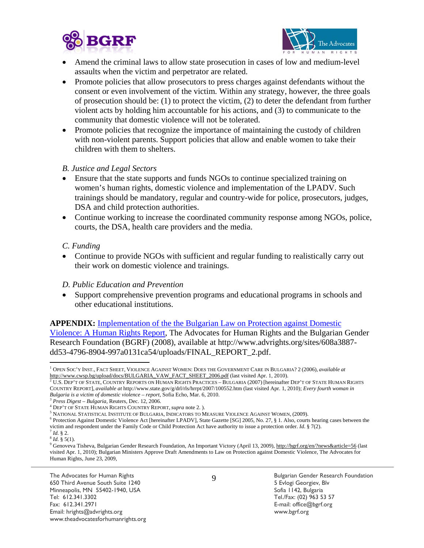



- Amend the criminal laws to allow state prosecution in cases of low and medium-level assaults when the victim and perpetrator are related.
- Promote policies that allow prosecutors to press charges against defendants without the consent or even involvement of the victim. Within any strategy, however, the three goals of prosecution should be: (1) to protect the victim, (2) to deter the defendant from further violent acts by holding him accountable for his actions, and (3) to communicate to the community that domestic violence will not be tolerated.
- Promote policies that recognize the importance of maintaining the custody of children with non-violent parents. Support policies that allow and enable women to take their children with them to shelters.

#### *B. Justice and Legal Sectors*

- Ensure that the state supports and funds NGOs to continue specialized training on women's human rights, domestic violence and implementation of the LPADV. Such trainings should be mandatory, regular and country-wide for police, prosecutors, judges, DSA and child protection authorities.
- Continue working to increase the coordinated community response among NGOs, police, courts, the DSA, health care providers and the media.

## *C. Funding*

• Continue to provide NGOs with sufficient and regular funding to realistically carry out their work on domestic violence and trainings.

#### *D. Public Education and Prevention*

• Support comprehensive prevention programs and educational programs in schools and other educational institutions.

## **APPENDIX:** Implementation of the the Bulgarian Law on Protection against Domestic

Violence: A Human Rights Report, The Advocates for Human Rights and the Bulgarian Gender Research Foundation (BGRF) (2008), available at http://www.advrights.org/sites/608a3887 dd53-4796-8904-997a0131ca54/uploads/FINAL\_REPORT\_2.pdf.

 $\overline{a}$ 1 OPEN SOC'Y INST., FACT SHEET, VIOLENCE AGAINST WOMEN: DOES THE GOVERNMENT CARE IN BULGARIA? 2 (2006), *available at*

http://www.cwsp.bg/upload/docs/BULGARIA\_VAW\_FACT\_SHEET\_2006.pdf (last visited Apr. 1, 2010).<br><sup>2</sup> U.S. Dep't of State, Country Reports on Human Rights Practices – Bulgaria (2007) [hereinafter Dep't of State Human Rights COUNTRY REPORT], *available at* http://www.state.gov/g/drl/rls/hrrpt/2007/100552.htm (last visited Apr. 1, 2010); *Every fourth woman in* 

<sup>&</sup>lt;sup>3</sup> Press Digest – Bulgaria, Reuters, Dec. 12, 2006.

DEP'T OF STATE HUMAN RIGHTS COUNTRY REPORT, *supra* note 2. ). 5

<sup>&</sup>lt;sup>5</sup> NATIONAL STATISTICAL INSTITUTE OF BULGARIA, INDICATORS TO MEASURE VIOLENCE AGAINST WOMEN, (2009).

<sup>&</sup>lt;sup>6</sup> Protection Against Domestic Violence Act [hereinafter LPADV], State Gazette [SG] 2005, No. 27, § 1. Also, courts hearing cases between the victim and respondent under the Family Code or Child Protection Act have authority to issue a protection order. *Id*. § 7(2). <sup>7</sup> *Id*. § 2. 8 *Id.* § 5(1).

<sup>&</sup>lt;sup>9</sup> Genoveva Tisheva, Bulgarian Gender Research Foundation, An Important Victory (April 13, 2009), http://bgrf.org/en/?news&article=56 (last visited Apr. 1, 2010); Bulgarian Ministers Approve Draft Amendments to Law on Protection against Domestic Violence, The Advocates for Human Rights, June 23, 2009,